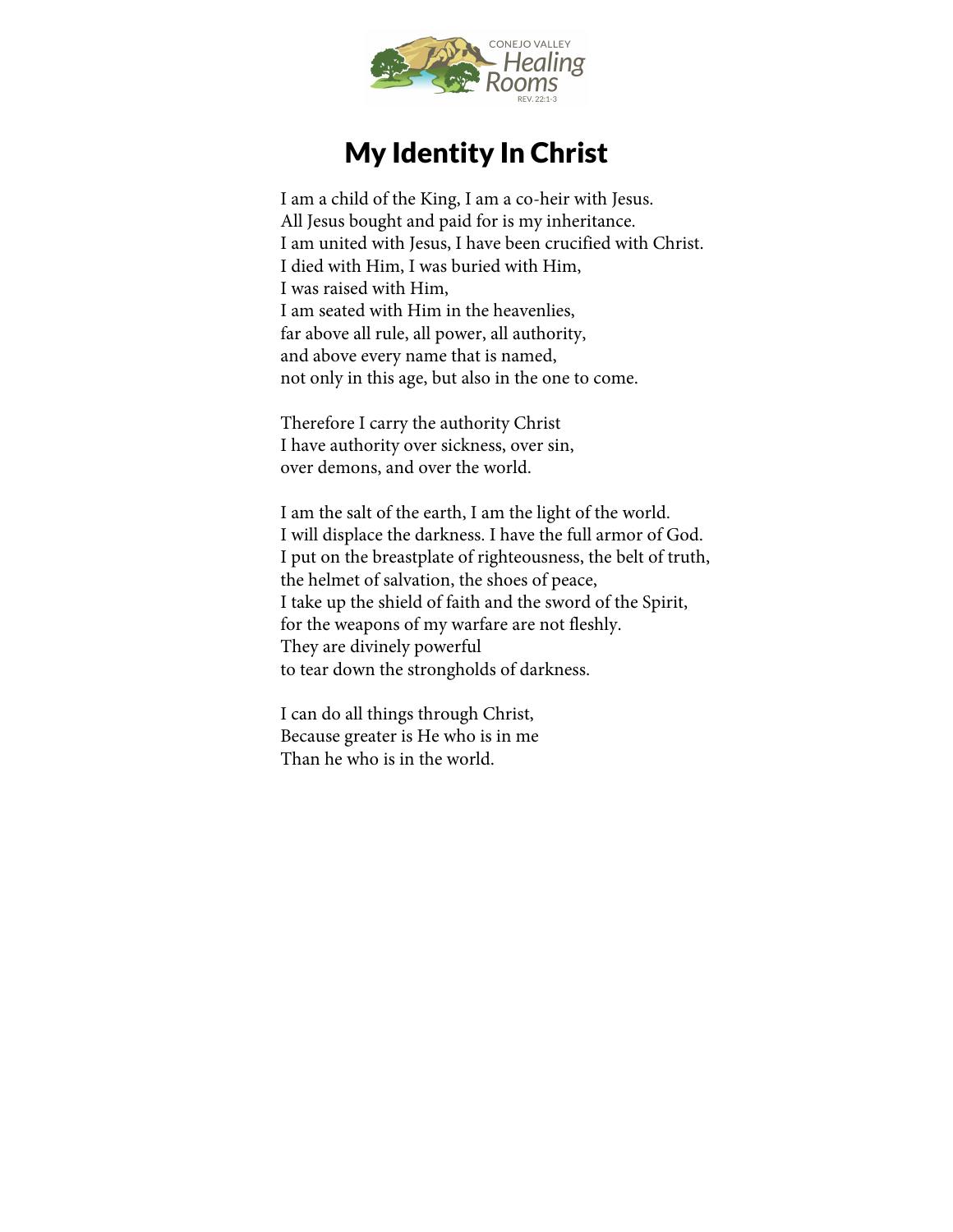

## My Identity In Christ

I am a child of the King, I am a co-heir with Jesus. All Jesus bought and paid for is my inheritance. I am united with Jesus, I have been crucified with Christ. I died with Him, I was buried with Him, I was raised with Him, I am seated with Him in the heavenlies, far above all rule, all power, all authority, and above every name that is named, not only in this age, but also in the one to come.

Therefore I carry the authority Christ I have authority over sickness, over sin, over demons, and over the world.

I am the salt of the earth, I am the light of the world. I will displace the darkness. I have the full armor of God. I put on the breastplate of righteousness, the belt of truth, the helmet of salvation, the shoes of peace, I take up the shield of faith and the sword of the Spirit, for the weapons of my warfare are not fleshly. They are divinely powerful to tear down the strongholds of darkness.

I can do all things through Christ, Because greater is He who is in me Than he who is in the world.